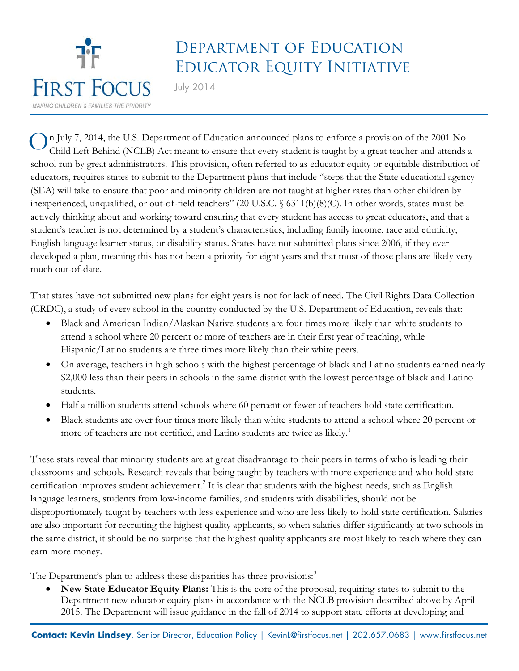

## Department of Education Educator Equity Initiative

July 2014

n July 7, 2014, the U.S. Department of Education announced plans to enforce a provision of the 2001 No Child Left Behind (NCLB) Act meant to ensure that every student is taught by a great teacher and attends a school run by great administrators. This provision, often referred to as educator equity or equitable distribution of educators, requires states to submit to the Department plans that include "steps that the State educational agency (SEA) will take to ensure that poor and minority children are not taught at higher rates than other children by inexperienced, unqualified, or out-of-field teachers" (20 U.S.C. § 6311(b)(8)(C). In other words, states must be actively thinking about and working toward ensuring that every student has access to great educators, and that a student's teacher is not determined by a student's characteristics, including family income, race and ethnicity, English language learner status, or disability status. States have not submitted plans since 2006, if they ever developed a plan, meaning this has not been a priority for eight years and that most of those plans are likely very much out-of-date. O

That states have not submitted new plans for eight years is not for lack of need. The Civil Rights Data Collection (CRDC), a study of every school in the country conducted by the U.S. Department of Education, reveals that:

- Black and American Indian/Alaskan Native students are four times more likely than white students to attend a school where 20 percent or more of teachers are in their first year of teaching, while Hispanic/Latino students are three times more likely than their white peers.
- On average, teachers in high schools with the highest percentage of black and Latino students earned nearly \$2,000 less than their peers in schools in the same district with the lowest percentage of black and Latino students.
- Half a million students attend schools where 60 percent or fewer of teachers hold state certification.
- Black students are over four times more likely than white students to attend a school where 20 percent or more of teachers are not certified, and Latino students are twice as likely.<sup>[1](#page-1-0)</sup>

These stats reveal that minority students are at great disadvantage to their peers in terms of who is leading their classrooms and schools. Research reveals that being taught by teachers with more experience and who hold state certification improves student achievement.<sup>[2](#page-1-1)</sup> It is clear that students with the highest needs, such as English language learners, students from low-income families, and students with disabilities, should not be disproportionately taught by teachers with less experience and who are less likely to hold state certification. Salaries are also important for recruiting the highest quality applicants, so when salaries differ significantly at two schools in the same district, it should be no surprise that the highest quality applicants are most likely to teach where they can earn more money.

The Department's plan to address these disparities has three provisions:<sup>[3](#page-1-2)</sup>

• **New State Educator Equity Plans:** This is the core of the proposal, requiring states to submit to the Department new educator equity plans in accordance with the NCLB provision described above by April 2015. The Department will issue guidance in the fall of 2014 to support state efforts at developing and